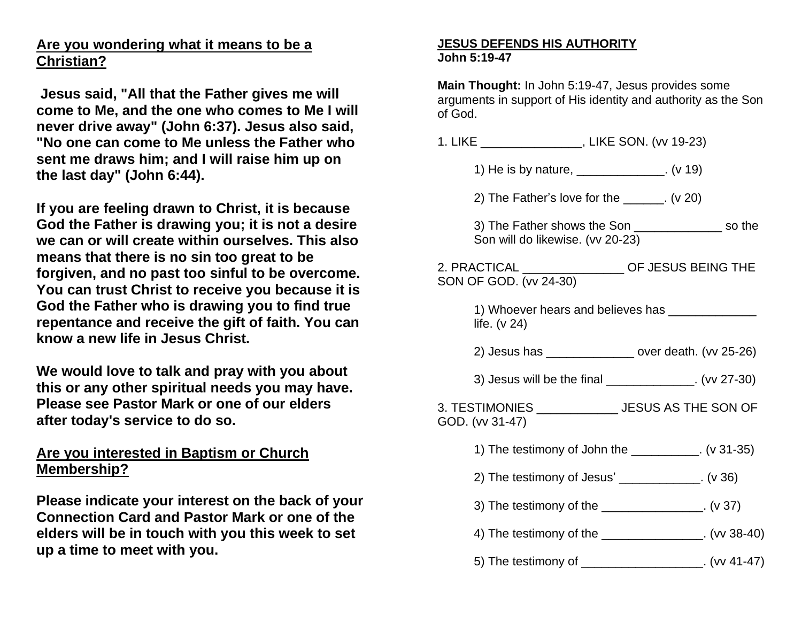## **Are you wondering what it means to be a Christian?**

**Jesus said, "All that the Father gives me will come to Me, and the one who comes to Me I will never drive away" (John 6:37). Jesus also said, "No one can come to Me unless the Father who sent me draws him; and I will raise him up on the last day" (John 6:44).**

**If you are feeling drawn to Christ, it is because God the Father is drawing you; it is not a desire we can or will create within ourselves. This also means that there is no sin too great to be forgiven, and no past too sinful to be overcome. You can trust Christ to receive you because it is God the Father who is drawing you to find true repentance and receive the gift of faith. You can know a new life in Jesus Christ.**

**We would love to talk and pray with you about this or any other spiritual needs you may have. Please see Pastor Mark or one of our elders after today's service to do so.**

## **Are you interested in Baptism or Church Membership?**

**Please indicate your interest on the back of your Connection Card and Pastor Mark or one of the elders will be in touch with you this week to set up a time to meet with you.**

## **JESUS DEFENDS HIS AUTHORITY John 5:19-47**

**Main Thought:** In John 5:19-47, Jesus provides some arguments in support of His identity and authority as the Son of God.

1. LIKE \_\_\_\_\_\_\_\_\_\_\_\_\_\_\_, LIKE SON. (vv 19-23)

- 1) He is by nature, \_\_\_\_\_\_\_\_\_\_\_\_\_. (v 19)
- 2) The Father's love for the \_\_\_\_\_\_. (v 20)
- 3) The Father shows the Son \_\_\_\_\_\_\_\_\_\_\_\_\_ so the Son will do likewise. (vv 20-23)

| 2. PRACTICAL           | OF JESUS BEING THE |
|------------------------|--------------------|
| SON OF GOD. (vv 24-30) |                    |

1) Whoever hears and believes has **we have all the vertex of the vertex and structure** life. (v 24)

2) Jesus has  $\sim$  over death. (vv 25-26)

3) Jesus will be the final \_\_\_\_\_\_\_\_\_\_\_\_\_. (vv 27-30)

3. TESTIMONIES \_\_\_\_\_\_\_\_\_\_\_\_ JESUS AS THE SON OF GOD. (vv 31-47)

- 1) The testimony of John the \_\_\_\_\_\_\_\_\_\_. (v 31-35)
- 2) The testimony of Jesus' \_\_\_\_\_\_\_\_\_\_\_\_. (v 36)
- 3) The testimony of the  $(4 \times 37)$
- 4) The testimony of the  $($ w 38-40)
- 5) The testimony of  $(vv 41-47)$